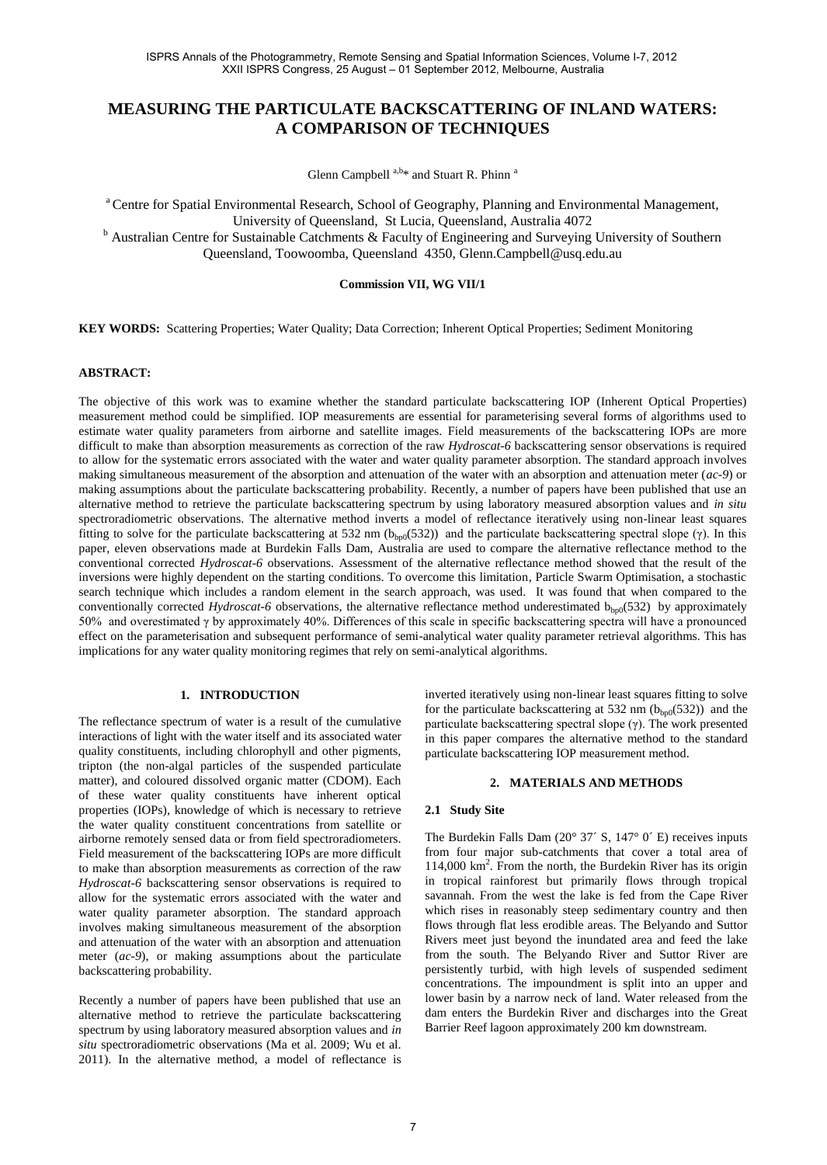# **MEASURING THE PARTICULATE BACKSCATTERING OF INLAND WATERS: A COMPARISON OF TECHNIQUES**

Glenn Campbell a,b\* and Stuart R. Phinn a

<sup>a</sup> Centre for Spatial Environmental Research, School of Geography, Planning and Environmental Management, University of Queensland, St Lucia, Queensland, Australia 4072 <sup>b</sup> Australian Centre for Sustainable Catchments & Faculty of Engineering and Surveying University of Southern

Queensland, Toowoomba, Queensland 4350, Glenn.Campbell@usq.edu.au

# **Commission VII, WG VII/1**

**KEY WORDS:** Scattering Properties; Water Quality; Data Correction; Inherent Optical Properties; Sediment Monitoring

### **ABSTRACT:**

The objective of this work was to examine whether the standard particulate backscattering IOP (Inherent Optical Properties) measurement method could be simplified. IOP measurements are essential for parameterising several forms of algorithms used to estimate water quality parameters from airborne and satellite images. Field measurements of the backscattering IOPs are more difficult to make than absorption measurements as correction of the raw *Hydroscat-6* backscattering sensor observations is required to allow for the systematic errors associated with the water and water quality parameter absorption. The standard approach involves making simultaneous measurement of the absorption and attenuation of the water with an absorption and attenuation meter (*ac-9*) or making assumptions about the particulate backscattering probability. Recently, a number of papers have been published that use an alternative method to retrieve the particulate backscattering spectrum by using laboratory measured absorption values and *in situ* spectroradiometric observations. The alternative method inverts a model of reflectance iteratively using non-linear least squares fitting to solve for the particulate backscattering at 532 nm ( $b_{bp0}(532)$ ) and the particulate backscattering spectral slope (γ). In this paper, eleven observations made at Burdekin Falls Dam, Australia are used to compare the alternative reflectance method to the conventional corrected *Hydroscat-6* observations. Assessment of the alternative reflectance method showed that the result of the inversions were highly dependent on the starting conditions. To overcome this limitation, Particle Swarm Optimisation, a stochastic search technique which includes a random element in the search approach, was used. It was found that when compared to the conventionally corrected *Hydroscat-6* observations, the alternative reflectance method underestimated  $b_{bp0}$ (532) by approximately 50% and overestimated γ by approximately 40%. Differences of this scale in specific backscattering spectra will have a pronounced effect on the parameterisation and subsequent performance of semi-analytical water quality parameter retrieval algorithms. This has implications for any water quality monitoring regimes that rely on semi-analytical algorithms.

### **1. INTRODUCTION**

The reflectance spectrum of water is a result of the cumulative interactions of light with the water itself and its associated water quality constituents, including chlorophyll and other pigments, tripton (the non-algal particles of the suspended particulate matter), and coloured dissolved organic matter (CDOM). Each of these water quality constituents have inherent optical properties (IOPs), knowledge of which is necessary to retrieve the water quality constituent concentrations from satellite or airborne remotely sensed data or from field spectroradiometers. Field measurement of the backscattering IOPs are more difficult to make than absorption measurements as correction of the raw *Hydroscat-6* backscattering sensor observations is required to allow for the systematic errors associated with the water and water quality parameter absorption. The standard approach involves making simultaneous measurement of the absorption and attenuation of the water with an absorption and attenuation meter (*ac-9*), or making assumptions about the particulate backscattering probability.

Recently a number of papers have been published that use an alternative method to retrieve the particulate backscattering spectrum by using laboratory measured absorption values and *in situ* spectroradiometric observations (Ma et al. 2009; Wu et al. 2011). In the alternative method, a model of reflectance is

inverted iteratively using non-linear least squares fitting to solve for the particulate backscattering at 532 nm  $(b_{bp0}(532))$  and the particulate backscattering spectral slope (γ). The work presented in this paper compares the alternative method to the standard particulate backscattering IOP measurement method.

### **2. MATERIALS AND METHODS**

#### **2.1 Study Site**

The Burdekin Falls Dam  $(20^{\circ} 37' S, 147^{\circ} 0' E)$  receives inputs from four major sub-catchments that cover a total area of 114,000 km<sup>2</sup> . From the north, the Burdekin River has its origin in tropical rainforest but primarily flows through tropical savannah. From the west the lake is fed from the Cape River which rises in reasonably steep sedimentary country and then flows through flat less erodible areas. The Belyando and Suttor Rivers meet just beyond the inundated area and feed the lake from the south. The Belyando River and Suttor River are persistently turbid, with high levels of suspended sediment concentrations. The impoundment is split into an upper and lower basin by a narrow neck of land. Water released from the dam enters the Burdekin River and discharges into the Great Barrier Reef lagoon approximately 200 km downstream.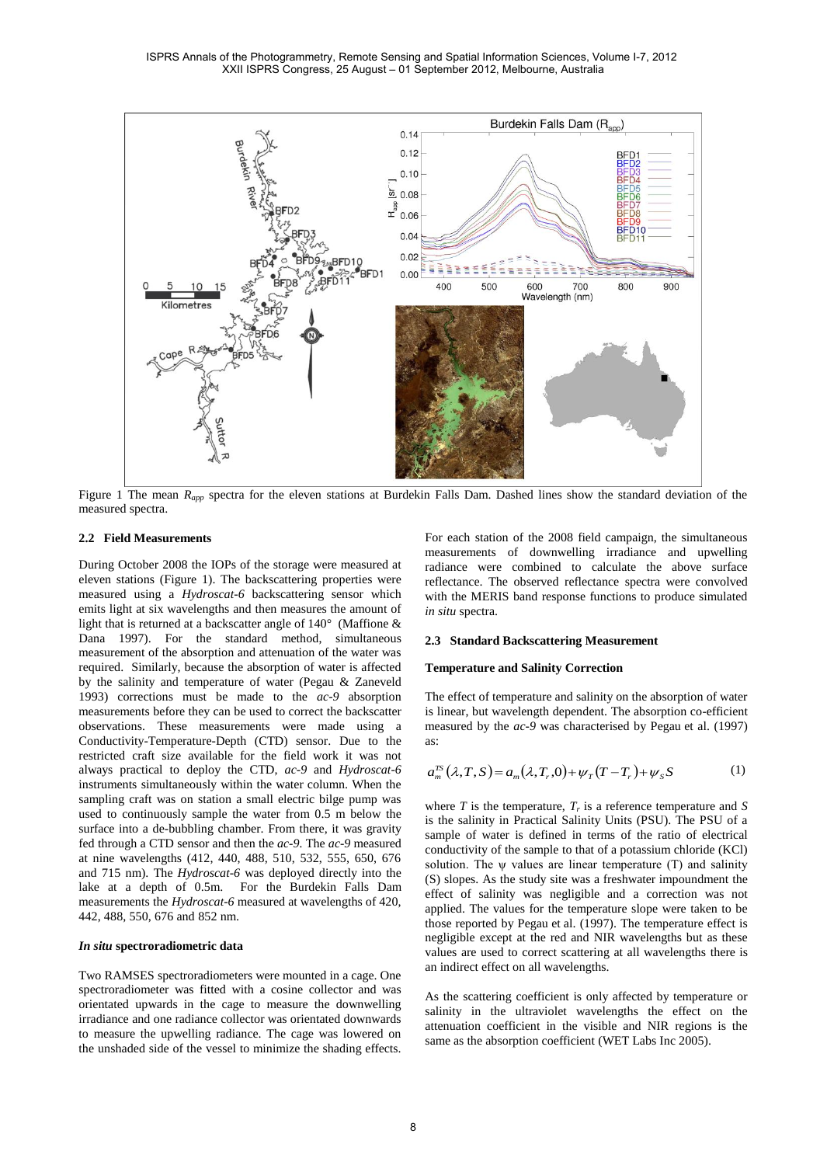

<span id="page-1-0"></span>Figure 1 The mean  $R_{app}$  spectra for the eleven stations at Burdekin Falls Dam. Dashed lines show the standard deviation of the measured spectra.

## **2.2 Field Measurements**

During October 2008 the IOPs of the storage were measured at eleven stations [\(Figure 1\)](#page-1-0). The backscattering properties were measured using a *Hydroscat-6* backscattering sensor which emits light at six wavelengths and then measures the amount of light that is returned at a backscatter angle of 140° (Maffione & Dana 1997). For the standard method, simultaneous measurement of the absorption and attenuation of the water was required. Similarly, because the absorption of water is affected by the salinity and temperature of water (Pegau & Zaneveld 1993) corrections must be made to the *ac-9* absorption measurements before they can be used to correct the backscatter observations. These measurements were made using a Conductivity-Temperature-Depth (CTD) sensor. Due to the restricted craft size available for the field work it was not always practical to deploy the CTD, *ac-9* and *Hydroscat-6* instruments simultaneously within the water column. When the sampling craft was on station a small electric bilge pump was used to continuously sample the water from 0.5 m below the surface into a de-bubbling chamber. From there, it was gravity fed through a CTD sensor and then the *ac-9.* The *ac-9* measured at nine wavelengths (412, 440, 488, 510, 532, 555, 650, 676 and 715 nm). The *Hydroscat-6* was deployed directly into the lake at a depth of 0.5m. For the Burdekin Falls Dam measurements the *Hydroscat-6* measured at wavelengths of 420, 442, 488, 550, 676 and 852 nm.

### *In situ* **spectroradiometric data**

Two RAMSES spectroradiometers were mounted in a cage. One spectroradiometer was fitted with a cosine collector and was orientated upwards in the cage to measure the downwelling irradiance and one radiance collector was orientated downwards to measure the upwelling radiance. The cage was lowered on the unshaded side of the vessel to minimize the shading effects.

For each station of the 2008 field campaign, the simultaneous measurements of downwelling irradiance and upwelling radiance were combined to calculate the above surface reflectance. The observed reflectance spectra were convolved with the MERIS band response functions to produce simulated *in situ* spectra.

### **2.3 Standard Backscattering Measurement**

### **Temperature and Salinity Correction**

The effect of temperature and salinity on the absorption of water is linear, but wavelength dependent. The absorption co-efficient measured by the *ac-9* was characterised by Pegau et al. (1997) as:

$$
a_m^{TS}(\lambda, T, S) = a_m(\lambda, T, 0) + \psi_T(T - T, ) + \psi_S S \tag{1}
$$

where  $T$  is the temperature,  $T_r$  is a reference temperature and  $S$ is the salinity in Practical Salinity Units (PSU). The PSU of a sample of water is defined in terms of the ratio of electrical conductivity of the sample to that of a potassium chloride (KCl) solution. The  $\psi$  values are linear temperature (T) and salinity (S) slopes. As the study site was a freshwater impoundment the effect of salinity was negligible and a correction was not applied. The values for the temperature slope were taken to be those reported by Pegau et al. (1997). The temperature effect is negligible except at the red and NIR wavelengths but as these values are used to correct scattering at all wavelengths there is an indirect effect on all wavelengths.

As the scattering coefficient is only affected by temperature or salinity in the ultraviolet wavelengths the effect on the attenuation coefficient in the visible and NIR regions is the same as the absorption coefficient (WET Labs Inc 2005).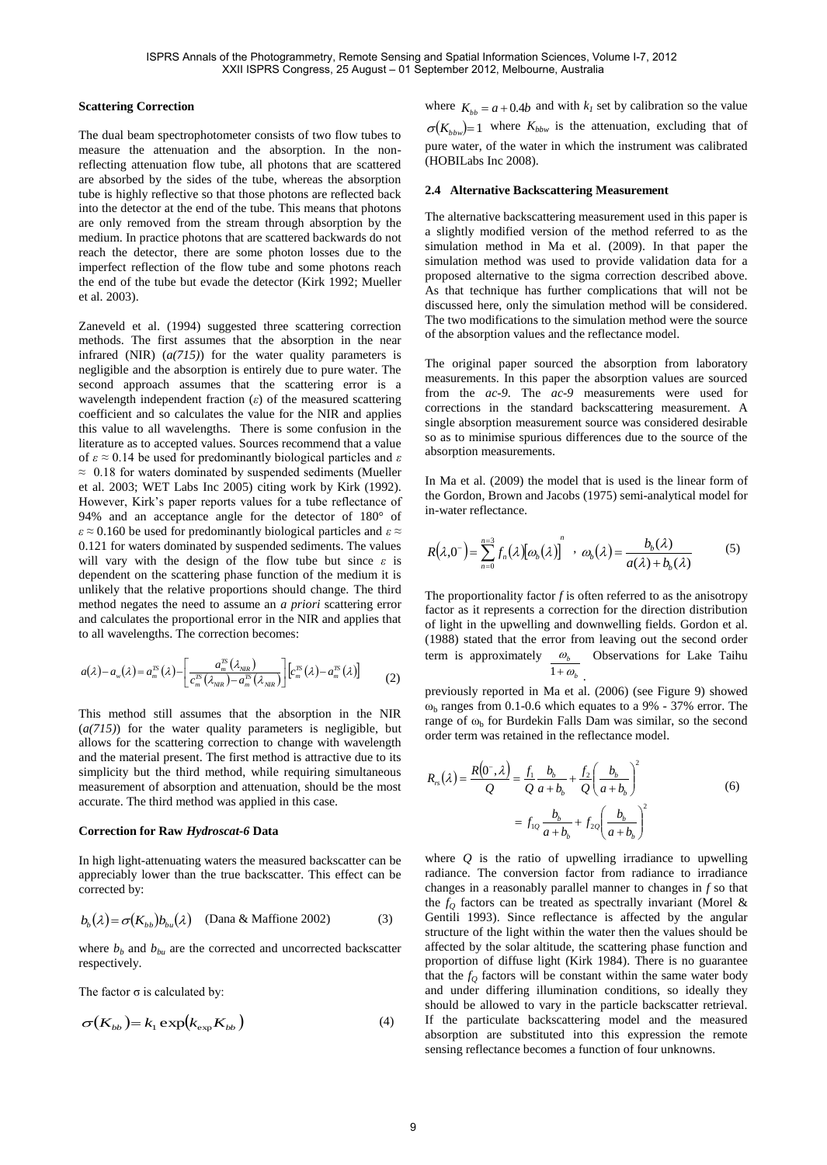## **Scattering Correction**

The dual beam spectrophotometer consists of two flow tubes to measure the attenuation and the absorption. In the nonreflecting attenuation flow tube, all photons that are scattered are absorbed by the sides of the tube, whereas the absorption tube is highly reflective so that those photons are reflected back into the detector at the end of the tube. This means that photons are only removed from the stream through absorption by the medium. In practice photons that are scattered backwards do not reach the detector, there are some photon losses due to the imperfect reflection of the flow tube and some photons reach the end of the tube but evade the detector (Kirk 1992; Mueller et al. 2003).

Zaneveld et al. (1994) suggested three scattering correction methods. The first assumes that the absorption in the near infrared (NIR) (*a(715)*) for the water quality parameters is negligible and the absorption is entirely due to pure water. The second approach assumes that the scattering error is a wavelength independent fraction (*ε*) of the measured scattering coefficient and so calculates the value for the NIR and applies this value to all wavelengths. There is some confusion in the literature as to accepted values. Sources recommend that a value of *ε* ≈ 0.14 be used for predominantly biological particles and *ε*  $\approx$  0.18 for waters dominated by suspended sediments (Mueller et al. 2003; WET Labs Inc 2005) citing work by Kirk (1992). However, Kirk's paper reports values for a tube reflectance of 94% and an acceptance angle for the detector of 180° of *ε* ≈ 0.160 be used for predominantly biological particles and *ε* ≈ 0.121 for waters dominated by suspended sediments. The values will vary with the design of the flow tube but since *ε* is dependent on the scattering phase function of the medium it is unlikely that the relative proportions should change. The third method negates the need to assume an *a priori* scattering error and calculates the proportional error in the NIR and applies that to all wavelengths. The correction becomes:

$$
a(\lambda) - a_{\scriptscriptstyle w}(\lambda) = a_{\scriptscriptstyle m}^{\scriptscriptstyle TS}(\lambda) - \left[ \frac{a_{\scriptscriptstyle m}^{\scriptscriptstyle TS}(\lambda_{\scriptscriptstyle NR})}{c_{\scriptscriptstyle m}^{\scriptscriptstyle TS}(\lambda_{\scriptscriptstyle NR}) - a_{\scriptscriptstyle m}^{\scriptscriptstyle TS}(\lambda_{\scriptscriptstyle NR})} \right] \left[ c_{\scriptscriptstyle m}^{\scriptscriptstyle TS}(\lambda) - a_{\scriptscriptstyle m}^{\scriptscriptstyle TS}(\lambda) \right] \tag{2}
$$

This method still assumes that the absorption in the NIR (*a(715)*) for the water quality parameters is negligible, but allows for the scattering correction to change with wavelength and the material present. The first method is attractive due to its simplicity but the third method, while requiring simultaneous measurement of absorption and attenuation, should be the most accurate. The third method was applied in this case.

### **Correction for Raw** *Hydroscat-6* **Data**

In high light-attenuating waters the measured backscatter can be appreciably lower than the true backscatter. This effect can be corrected by:

$$
b_b(\lambda) = \sigma(K_{bb})b_{bu}(\lambda)
$$
 (Dana & Maffione 2002) (3)

where  $b_b$  and  $b_{ba}$  are the corrected and uncorrected backscatter respectively.

The factor  $\sigma$  is calculated by:

$$
\sigma(K_{bb}) = k_1 \exp(k_{\exp} K_{bb})
$$
\n(4)

where  $K_{bb} = a + 0.4b$  and with  $k_l$  set by calibration so the value  $\sigma(K_{b\bar{b}w}) = 1$  where  $K_{b\bar{b}w}$  is the attenuation, excluding that of pure water, of the water in which the instrument was calibrated (HOBILabs Inc 2008).

### **2.4 Alternative Backscattering Measurement**

The alternative backscattering measurement used in this paper is a slightly modified version of the method referred to as the simulation method in Ma et al. (2009). In that paper the simulation method was used to provide validation data for a proposed alternative to the sigma correction described above. As that technique has further complications that will not be discussed here, only the simulation method will be considered. The two modifications to the simulation method were the source of the absorption values and the reflectance model.

The original paper sourced the absorption from laboratory measurements. In this paper the absorption values are sourced from the *ac-9*. The *ac-9* measurements were used for corrections in the standard backscattering measurement. A single absorption measurement source was considered desirable so as to minimise spurious differences due to the source of the absorption measurements.

In Ma et al. (2009) the model that is used is the linear form of the Gordon, Brown and Jacobs (1975) semi-analytical model for in-water reflectance.

$$
R(\lambda,0^{-}) = \sum_{n=0}^{n=3} f_n(\lambda) [\omega_b(\lambda)]^{n} \cdot \omega_b(\lambda) = \frac{b_b(\lambda)}{a(\lambda) + b_b(\lambda)}
$$
(5)

The proportionality factor  $f$  is often referred to as the anisotropy factor as it represents a correction for the direction distribution of light in the upwelling and downwelling fields. Gordon et al. (1988) stated that the error from leaving out the second order term is approximately  $\omega_b$  Observations for Lake Taihu  $1 + \omega_b$ .

previously reported in Ma et al. (2006) (see Figure 9) showed  $\omega_{b}$  ranges from 0.1-0.6 which equates to a 9% - 37% error. The range of  $\omega_{b}$  for Burdekin Falls Dam was similar, so the second order term was retained in the reflectance model.

$$
R_{\scriptscriptstyle B}(\lambda) = \frac{R(0^-,\lambda)}{Q} = \frac{f_1}{Q} \frac{b_b}{a+b_b} + \frac{f_2}{Q} \left(\frac{b_b}{a+b_b}\right)^2
$$
  

$$
= f_{1Q} \frac{b_b}{a+b_b} + f_{2Q} \left(\frac{b_b}{a+b_b}\right)^2
$$
 (6)

where *Q* is the ratio of upwelling irradiance to upwelling radiance. The conversion factor from radiance to irradiance changes in a reasonably parallel manner to changes in *f* so that the  $f<sub>O</sub>$  factors can be treated as spectrally invariant (Morel & Gentili 1993). Since reflectance is affected by the angular structure of the light within the water then the values should be affected by the solar altitude, the scattering phase function and proportion of diffuse light (Kirk 1984). There is no guarantee that the  $f<sub>O</sub>$  factors will be constant within the same water body and under differing illumination conditions, so ideally they should be allowed to vary in the particle backscatter retrieval. If the particulate backscattering model and the measured absorption are substituted into this expression the remote sensing reflectance becomes a function of four unknowns.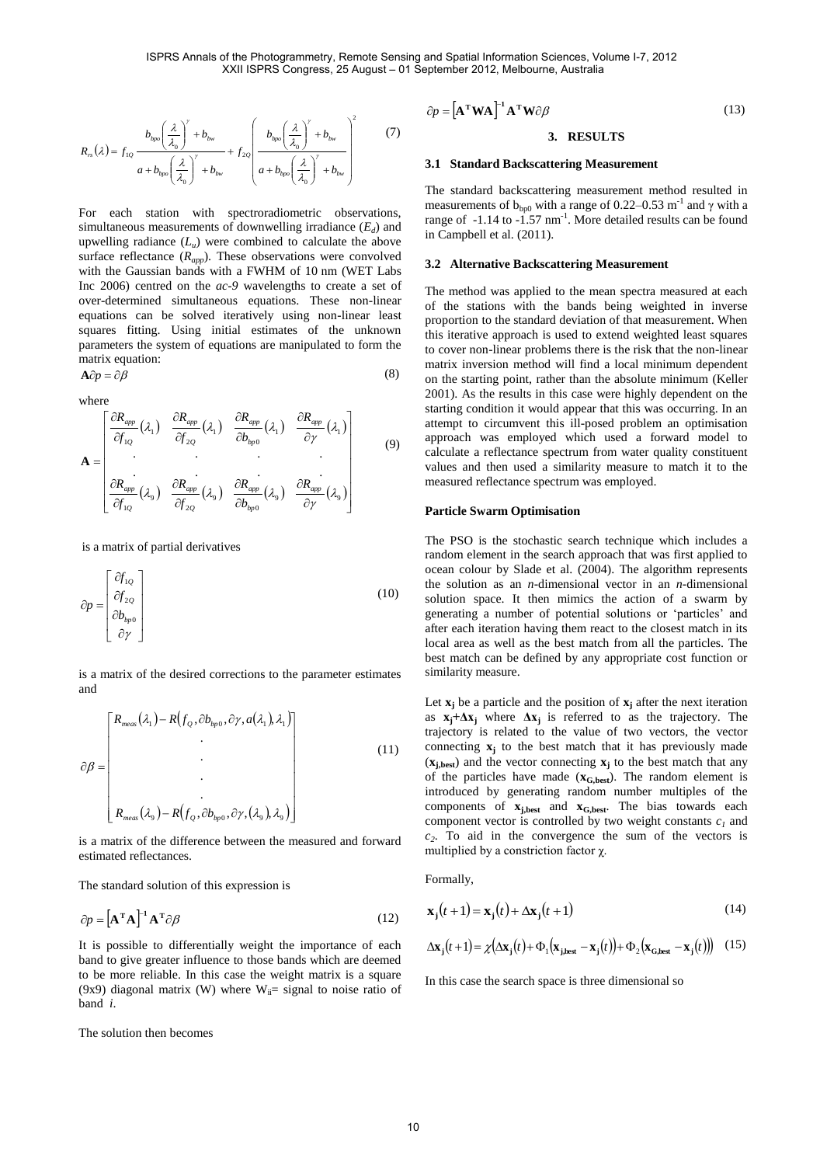$$
R_{rs}(\lambda) = f_{1Q} \frac{b_{bpo} \left(\frac{\lambda}{\lambda_0}\right)^{\gamma} + b_{bw}}{a + b_{bpo} \left(\frac{\lambda}{\lambda_0}\right)^{\gamma} + b_{bw}} + f_{2Q} \left(\frac{b_{bpo} \left(\frac{\lambda}{\lambda_0}\right)^{\gamma} + b_{bw}}{a + b_{bpo} \left(\frac{\lambda}{\lambda_0}\right)^{\gamma} + b_{bw}}\right)^2
$$
(7)

For each station with spectroradiometric observations, simultaneous measurements of downwelling irradiance (*E<sup>d</sup>* ) and upwelling radiance (*L<sup>u</sup>* ) were combined to calculate the above surface reflectance (*Rapp*). These observations were convolved with the Gaussian bands with a FWHM of 10 nm (WET Labs Inc 2006) centred on the *ac-9* wavelengths to create a set of over-determined simultaneous equations. These non-linear equations can be solved iteratively using non-linear least squares fitting. Using initial estimates of the unknown parameters the system of equations are manipulated to form the matrix equation: (8)

$$
\mathbf{A}\partial p=\partial\beta
$$

where

$$
\mathbf{A} = \begin{bmatrix} \frac{\partial R_{app}}{\partial f_{1Q}}(\lambda_1) & \frac{\partial R_{app}}{\partial f_{2Q}}(\lambda_1) & \frac{\partial R_{app}}{\partial b_{kp0}}(\lambda_1) & \frac{\partial R_{app}}{\partial \gamma}(\lambda_1) \\ \vdots & \vdots & \vdots & \vdots \\ \frac{\partial R_{app}}{\partial f_{1Q}}(\lambda_9) & \frac{\partial R_{app}}{\partial f_{2Q}}(\lambda_9) & \frac{\partial R_{app}}{\partial b_{kp0}}(\lambda_9) & \frac{\partial R_{app}}{\partial \gamma}(\lambda_9) \end{bmatrix}
$$
(9)

is a matrix of partial derivatives

$$
\partial p = \begin{bmatrix} \partial f_{1Q} \\ \partial f_{2Q} \\ \partial b_{bp0} \\ \partial \gamma \end{bmatrix}
$$
 (10)

is a matrix of the desired corrections to the parameter estimates and

$$
\partial \beta = \begin{bmatrix} R_{\text{meas}}(\lambda_1) - R(f_Q, \partial b_{\text{hpo}}, \partial \gamma, a(\lambda_1), \lambda_1) \\ \cdot \\ \cdot \\ \cdot \\ \cdot \\ R_{\text{meas}}(\lambda_9) - R(f_Q, \partial b_{\text{hpo}}, \partial \gamma, (\lambda_9), \lambda_9) \end{bmatrix} \tag{11}
$$

is a matrix of the difference between the measured and forward estimated reflectances.

The standard solution of this expression is

$$
\partial p = \left[\mathbf{A}^{\mathrm{T}} \mathbf{A}\right]^{-1} \mathbf{A}^{\mathrm{T}} \partial \beta \tag{12}
$$

It is possible to differentially weight the importance of each band to give greater influence to those bands which are deemed to be more reliable. In this case the weight matrix is a square (9x9) diagonal matrix (W) where  $W_{ii}$ = signal to noise ratio of band *i*.

The solution then becomes

$$
\partial p = [\mathbf{A}^{\mathrm{T}} \mathbf{W} \mathbf{A}]^{-1} \mathbf{A}^{\mathrm{T}} \mathbf{W} \partial \beta
$$
 (13)

# **3. RESULTS**

### **3.1 Standard Backscattering Measurement**

The standard backscattering measurement method resulted in measurements of  $b_{bp0}$  with a range of 0.22–0.53 m<sup>-1</sup> and  $\gamma$  with a range of  $-1.14$  to  $-1.57$  nm<sup>-1</sup>. More detailed results can be found in Campbell et al. (2011).

### **3.2 Alternative Backscattering Measurement**

The method was applied to the mean spectra measured at each of the stations with the bands being weighted in inverse proportion to the standard deviation of that measurement. When this iterative approach is used to extend weighted least squares to cover non-linear problems there is the risk that the non-linear matrix inversion method will find a local minimum dependent on the starting point, rather than the absolute minimum (Keller 2001). As the results in this case were highly dependent on the starting condition it would appear that this was occurring. In an attempt to circumvent this ill-posed problem an optimisation approach was employed which used a forward model to calculate a reflectance spectrum from water quality constituent values and then used a similarity measure to match it to the measured reflectance spectrum was employed.

#### **Particle Swarm Optimisation**

The PSO is the stochastic search technique which includes a random element in the search approach that was first applied to ocean colour by Slade et al. (2004). The algorithm represents the solution as an *n*-dimensional vector in an *n*-dimensional solution space. It then mimics the action of a swarm by generating a number of potential solutions or 'particles' and after each iteration having them react to the closest match in its local area as well as the best match from all the particles. The best match can be defined by any appropriate cost function or similarity measure.

Let  $\mathbf{x}_i$  be a particle and the position of  $\mathbf{x}_i$  after the next iteration as  $x_i + \Delta x_i$  where  $\Delta x_i$  is referred to as the trajectory. The trajectory is related to the value of two vectors, the vector connecting **x<sup>j</sup>** to the best match that it has previously made (**xj,best**) and the vector connecting **x<sup>j</sup>** to the best match that any of the particles have made (**xG,best**). The random element is introduced by generating random number multiples of the components of **xj,best** and **xG,best**. The bias towards each component vector is controlled by two weight constants *c<sup>1</sup>* and *c2* . To aid in the convergence the sum of the vectors is multiplied by a constriction factor  $\chi$ .

Formally,

$$
\mathbf{x}_{j}(t+1) = \mathbf{x}_{j}(t) + \Delta \mathbf{x}_{j}(t+1)
$$
\n(14)

$$
\Delta \mathbf{x}_{\mathbf{j}}(t+1) = \chi \big( \Delta \mathbf{x}_{\mathbf{j}}(t) + \Phi_1 \big( \mathbf{x}_{\mathbf{j},\mathbf{best}} - \mathbf{x}_{\mathbf{j}}(t) \big) + \Phi_2 \big( \mathbf{x}_{\mathbf{G},\mathbf{best}} - \mathbf{x}_{\mathbf{j}}(t) \big) \big)
$$
(15)

In this case the search space is three dimensional so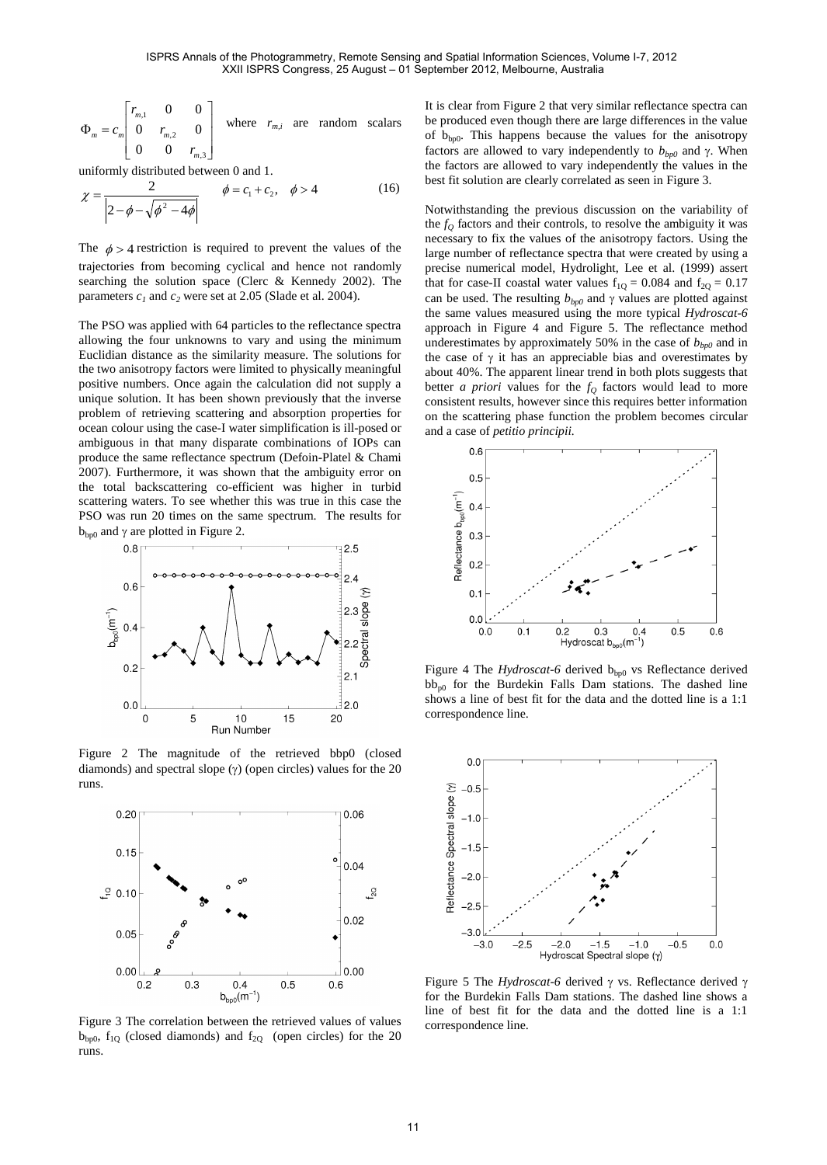$$
\Phi_m = c_m \begin{bmatrix} r_{m,1} & 0 & 0 \\ 0 & r_{m,2} & 0 \\ 0 & 0 & r_{m,3} \end{bmatrix}
$$
 where  $r_{m,i}$  are random scalars

uniformly distributed between 0 and 1.

$$
\chi = \frac{2}{\left| 2 - \phi - \sqrt{\phi^2 - 4\phi} \right|} \qquad \phi = c_1 + c_2, \quad \phi > 4 \tag{16}
$$

The  $\phi > 4$  restriction is required to prevent the values of the trajectories from becoming cyclical and hence not randomly searching the solution space (Clerc & Kennedy 2002). The parameters  $c_1$  and  $c_2$  were set at 2.05 (Slade et al. 2004).

The PSO was applied with 64 particles to the reflectance spectra allowing the four unknowns to vary and using the minimum Euclidian distance as the similarity measure. The solutions for the two anisotropy factors were limited to physically meaningful positive numbers. Once again the calculation did not supply a unique solution. It has been shown previously that the inverse problem of retrieving scattering and absorption properties for ocean colour using the case-I water simplification is ill-posed or ambiguous in that many disparate combinations of IOPs can produce the same reflectance spectrum (Defoin-Platel & Chami 2007). Furthermore, it was shown that the ambiguity error on the total backscattering co-efficient was higher in turbid scattering waters. To see whether this was true in this case the PSO was run 20 times on the same spectrum. The results for  $b_{\text{bp0}}$  and  $\gamma$  are plotted in [Figure 2.](#page-4-0)



<span id="page-4-0"></span>Figure 2 The magnitude of the retrieved bbp0 (closed diamonds) and spectral slope  $(y)$  (open circles) values for the 20 runs.



<span id="page-4-1"></span>Figure 3 The correlation between the retrieved values of values  $b_{bp0}$ ,  $f_{1Q}$  (closed diamonds) and  $f_{2Q}$  (open circles) for the 20 runs.

It is clear fro[m Figure 2](#page-4-0) that very similar reflectance spectra can be produced even though there are large differences in the value of  $b_{\text{bp0}}$ . This happens because the values for the anisotropy factors are allowed to vary independently to  $b_{bp0}$  and  $\gamma$ . When the factors are allowed to vary independently the values in the best fit solution are clearly correlated as seen in [Figure 3.](#page-4-1) 

Notwithstanding the previous discussion on the variability of the  $f<sub>O</sub>$  factors and their controls, to resolve the ambiguity it was necessary to fix the values of the anisotropy factors. Using the large number of reflectance spectra that were created by using a precise numerical model, Hydrolight, Lee et al. (1999) assert that for case-II coastal water values  $f_{1Q} = 0.084$  and  $f_{2Q} = 0.17$ can be used. The resulting  $b_{bp0}$  and  $\gamma$  values are plotted against the same values measured using the more typical *Hydroscat-6* approach in [Figure 4](#page-4-2) and [Figure 5.](#page-4-3) The reflectance method underestimates by approximately 50% in the case of  $b_{bp0}$  and in the case of  $\gamma$  it has an appreciable bias and overestimates by about 40%. The apparent linear trend in both plots suggests that better *a priori* values for the  $f<sub>Q</sub>$  factors would lead to more consistent results, however since this requires better information on the scattering phase function the problem becomes circular and a case of *petitio principii.*



<span id="page-4-2"></span>Figure 4 The *Hydroscat-6* derived b<sub>bp0</sub> vs Reflectance derived  $bb_{n0}$  for the Burdekin Falls Dam stations. The dashed line shows a line of best fit for the data and the dotted line is a 1:1 correspondence line.



<span id="page-4-3"></span>Figure 5 The *Hydroscat-6* derived  $\gamma$  vs. Reflectance derived  $\gamma$ for the Burdekin Falls Dam stations. The dashed line shows a line of best fit for the data and the dotted line is a 1:1 correspondence line.